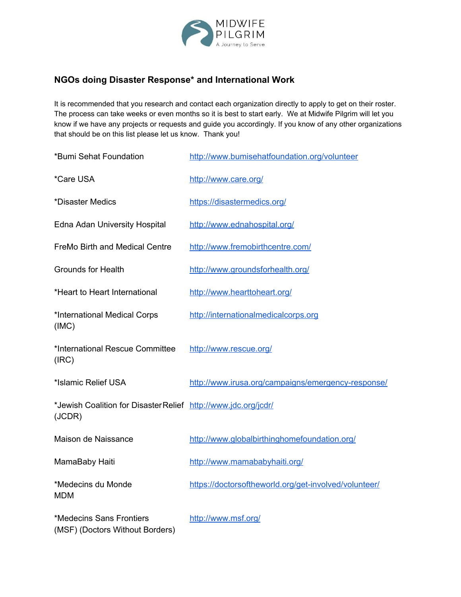

## **NGOs doing Disaster Response\* and International Work**

It is recommended that you research and contact each organization directly to apply to get on their roster. The process can take weeks or even months so it is best to start early. We at Midwife Pilgrim will let you know if we have any projects or requests and guide you accordingly. If you know of any other organizations that should be on this list please let us know. Thank you!

| *Bumi Sehat Foundation                                                   | http://www.bumisehatfoundation.org/volunteer          |
|--------------------------------------------------------------------------|-------------------------------------------------------|
| *Care USA                                                                | http://www.care.org/                                  |
| *Disaster Medics                                                         | https://disastermedics.org/                           |
| Edna Adan University Hospital                                            | http://www.ednahospital.org/                          |
| <b>FreMo Birth and Medical Centre</b>                                    | http://www.fremobirthcentre.com/                      |
| <b>Grounds for Health</b>                                                | http://www.groundsforhealth.org/                      |
| *Heart to Heart International                                            | http://www.hearttoheart.org/                          |
| *International Medical Corps<br>(IMC)                                    | http://internationalmedicalcorps.org                  |
| *International Rescue Committee<br>(IRC)                                 | http://www.rescue.org/                                |
| *Islamic Relief USA                                                      | http://www.irusa.org/campaigns/emergency-response/    |
| *Jewish Coalition for Disaster Relief http://www.jdc.org/jcdr/<br>(JCDR) |                                                       |
| Maison de Naissance                                                      | http://www.globalbirthinghomefoundation.org/          |
| MamaBaby Haiti                                                           | http://www.mamababyhaiti.org/                         |
| *Medecins du Monde<br><b>MDM</b>                                         | https://doctorsoftheworld.org/get-involved/volunteer/ |
| *Medecins Sans Frontiers<br>(MSF) (Doctors Without Borders)              | http://www.msf.org/                                   |